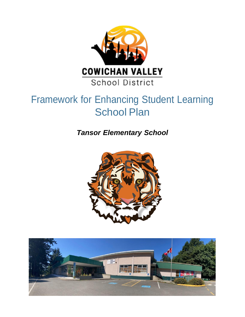

# Framework for Enhancing Student Learning School Plan

*Tansor Elementary School*



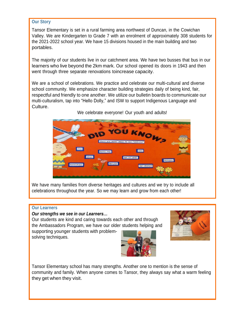#### **Our Story**

Tansor Elementary is set in a rural farming area northwest of Duncan, in the Cowichan Valley. We are Kindergarten to Grade 7 with an enrolment of approximately 308 students for the 2021-2022 school year. We have 15 divisions housed in the main building and two portables.

The majority of our students live in our catchment area. We have two busses that bus in our learners who live beyond the 2km mark. Our school opened its doors in 1943 and then went through three separate renovations toincrease capacity.

We are a school of celebrations. We practice and celebrate our multi-cultural and diverse school community. We emphasize character building strategies daily of being kind, fair, respectful and friendly to one another. We utilize our bulletin boards to communicate our multi-culturalism, tap into "Hello Dolly," and ISW to support Indigenous Language and Culture.



We celebrate everyone! Our youth and adults!

We have many families from diverse heritages and cultures and we try to include all celebrations throughout the year. So we may learn and grow from each other!

#### **Our Learners**

#### *Our strengths we see in our Learners…*

Our students are kind and caring towards each other and through the Ambassadors Program, we have our older students helping and

supporting younger students with problemsolving techniques.





Tansor Elementary school has many strengths. Another one to mention is the sense of community and family. When anyone comes to Tansor, they always say what a warm feeling they get when they visit.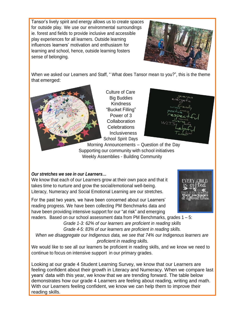Tansor's lively spirit and energy allows us to create spaces for outside play. We use our environmental surroundings ie. forest and fields to provide inclusive and accessible play experiences for all learners. Outside learning influences learners' motivation and enthusiasm for learning and school, hence, outside learning fosters sense of belonging.



When we asked our Learners and Staff, " What does Tansor mean to you?", this is the theme that emerged:



Culture of Care Big Buddies Kindness "Bucket Filling" Power of 3 **Collaboration** Celebrations **Inclusiveness** School Spirit Days

Morning Announcements – Question of the Day Supporting our community with school initiatives Weekly Assemblies - Building Community

# *Our stretches we see in our Learners…*

We know that each of our Learners grow at their own pace and that it takes time to nurture and grow the social/emotional well-being. Literacy, Numeracy and Social Emotional Learning are our stretches.

For the past two years, we have been concerned about our Learners' reading progress. We have been collecting PM Benchmarks data and have been providing intensive support for our "at risk" and emerging



readers. Based on our school assessment data from PM Benchmarks, grades 1 – 5:

*Grade 1-3: 62% of our learners are proficient in reading skills Grade 4-5: 83% of our learners are proficient in reading skills.*

*When we disaggregate our Indigenous data, we see that 74% our Indigenous learners are proficient in reading skills.*

We would like to see all our learners be proficient in reading skills, and we know we need to continue to focus on intensive support in our primary grades.

Looking at our grade 4 Student Learning Survey, we know that our Learners are feeling confident about their growth in Literacy and Numeracy. When we compare last years' data with this year, we know that we are trending forward. The table below demonstrates how our grade 4 Learners are feeling about reading, writing and math. With our Learners feeling confident, we know we can help them to improve their reading skills.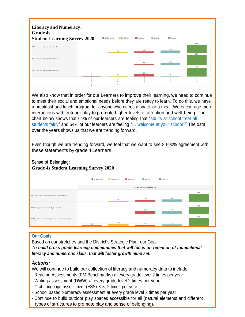| <b>Literacy and Numeracy:</b><br><b>Grade 4s</b><br><b>Student Learning Survey 2020</b> |            | No Response | Don't know | Negative | Neutral | Positive |          |
|-----------------------------------------------------------------------------------------|------------|-------------|------------|----------|---------|----------|----------|
| S19 - I feel I am getting better at math.                                               |            |             |            |          |         |          | 68%      |
|                                                                                         |            |             | 4%         | 11%      |         | 18%      |          |
| S20 - I feel I am getting better at reading.                                            |            |             |            |          |         |          | 82%      |
|                                                                                         |            |             |            |          |         |          |          |
|                                                                                         |            |             |            |          |         |          | 71%      |
| S22 - I feel I am getting better at writing.                                            |            |             |            | 18%      |         |          |          |
|                                                                                         | 4%         |             | 4%         |          |         |          |          |
|                                                                                         | Respo<br>ş |             | $\bar{5}$  | egativ   |         |          | Positive |

We also know that in order for our Learners to improve their learning, we need to continue to meet their social and emotional needs before they are ready to learn. To do this, we have a breakfast and lunch program for anyone who needs a snack or a meal. We encourage more interactions with outdoor play to promote higher levels of attention and well-being. The chart below shows that 64% of our learners are feeling that "adults at school treat all students fairly" and 54% of our learners are feeling "… welcome at your school?" The data over the years shows us that we are trending forward.

Even though we are trending forward, we feel that we want to see 80-90% agreement with these statements by grade 4 Learners.

## **Sense of Belonging: Grade 4s Student Learning Survey 2020**

|                                                                       | No Response             | Don't know | Negative | Neutral | Positive |     |  |  |  |  |
|-----------------------------------------------------------------------|-------------------------|------------|----------|---------|----------|-----|--|--|--|--|
|                                                                       | 079 - Tansor Elementary |            |          |         |          |     |  |  |  |  |
| NQ1 - Do adults in the school treat all students fairly?              |                         |            |          |         |          | 64% |  |  |  |  |
|                                                                       |                         | 4%         |          | 14%     | 18%      |     |  |  |  |  |
| NQ16 - Do you feel welcome at your school?                            |                         |            |          | 21%     | 25%      | 54% |  |  |  |  |
|                                                                       |                         |            |          |         |          |     |  |  |  |  |
| Q26A - How many adults do you think care about you at your<br>school? |                         |            |          |         |          | 64% |  |  |  |  |
|                                                                       | 4%                      | 14%        |          | 7%      | 11%      |     |  |  |  |  |

## **Our Goals**

Based on our stretches and the District's Strategic Plan, our Goal: *To build cross grade learning communities that will focus on retention of foundational literacy and numerous skills, that will foster growth mind set.*

# *Actions:*

We will continue to build our collection of literacy and numeracy data to include:

- Reading Assessments (PM Benchmarks) at every grade level 2 times per year
- Writing assessment (DWW) at every grade level 2 times per year
- Oral Language assessment (ESS) K-3, 2 times per year
- School based Numeracy assessment at every grade level 2 times per year
- Continue to build outdoor play spaces accessible for all (natural elements and different types of structures to promote play and sense of belonging).